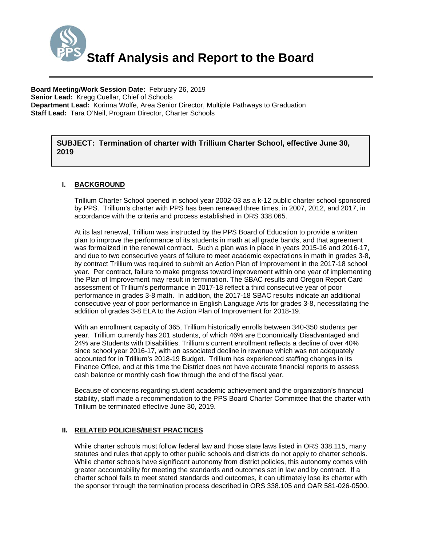

**Board Meeting/Work Session Date:** February 26, 2019 **Senior Lead:** Kregg Cuellar, Chief of Schools **Department Lead:** Korinna Wolfe, Area Senior Director, Multiple Pathways to Graduation **Staff Lead:** Tara O'Neil, Program Director, Charter Schools

*(Use this section to briefly explain the item—2-3 sentences)*  **SUBJECT: Termination of charter with Trillium Charter School, effective June 30, 2019** 

## **I. BACKGROUND**

Trillium Charter School opened in school year 2002-03 as a k-12 public charter school sponsored by PPS. Trillium's charter with PPS has been renewed three times, in 2007, 2012, and 2017, in accordance with the criteria and process established in ORS 338.065.

At its last renewal, Trillium was instructed by the PPS Board of Education to provide a written plan to improve the performance of its students in math at all grade bands, and that agreement was formalized in the renewal contract. Such a plan was in place in years 2015-16 and 2016-17, and due to two consecutive years of failure to meet academic expectations in math in grades 3-8, by contract Trillium was required to submit an Action Plan of Improvement in the 2017-18 school year. Per contract, failure to make progress toward improvement within one year of implementing the Plan of Improvement may result in termination. The SBAC results and Oregon Report Card assessment of Trillium's performance in 2017-18 reflect a third consecutive year of poor performance in grades 3-8 math. In addition, the 2017-18 SBAC results indicate an additional consecutive year of poor performance in English Language Arts for grades 3-8, necessitating the addition of grades 3-8 ELA to the Action Plan of Improvement for 2018-19.

With an enrollment capacity of 365, Trillium historically enrolls between 340-350 students per year. Trillium currently has 201 students, of which 46% are Economically Disadvantaged and 24% are Students with Disabilities. Trillium's current enrollment reflects a decline of over 40% since school year 2016-17, with an associated decline in revenue which was not adequately accounted for in Trillium's 2018-19 Budget. Trillium has experienced staffing changes in its Finance Office, and at this time the District does not have accurate financial reports to assess cash balance or monthly cash flow through the end of the fiscal year.

Because of concerns regarding student academic achievement and the organization's financial stability, staff made a recommendation to the PPS Board Charter Committee that the charter with Trillium be terminated effective June 30, 2019.

# **II. RELATED POLICIES/BEST PRACTICES**

While charter schools must follow federal law and those state laws listed in ORS 338.115, many statutes and rules that apply to other public schools and districts do not apply to charter schools. While charter schools have significant autonomy from district policies, this autonomy comes with greater accountability for meeting the standards and outcomes set in law and by contract. If a charter school fails to meet stated standards and outcomes, it can ultimately lose its charter with the sponsor through the termination process described in ORS 338.105 and OAR 581-026-0500.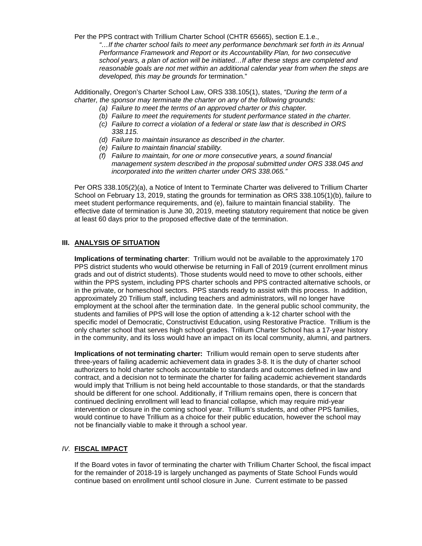Per the PPS contract with Trillium Charter School (CHTR 65665), section E.1.e.,  *"…If the charter school fails to meet any performance benchmark set forth in its Annual Performance Framework and Report or its Accountability Plan, for two consecutive school years, a plan of action will be initiated…If after these steps are completed and reasonable goals are not met within an additional calendar year from when the steps are developed, this may be grounds for* termination."

Additionally, Oregon's Charter School Law, ORS 338.105(1), states, *"During the term of a charter, the sponsor may terminate the charter on any of the following grounds:* 

- *(a) Failure to meet the terms of an approved charter or this chapter.*
- *(b) Failure to meet the requirements for student performance stated in the charter.*
- *(c) Failure to correct a violation of a federal or state law that is described in ORS 338.115.*
- *(d) Failure to maintain insurance as described in the charter.*
- *(e) Failure to maintain financial stability.*
- *(f) Failure to maintain, for one or more consecutive years, a sound financial management system described in the proposal submitted under ORS 338.045 and incorporated into the written charter under ORS 338.065."*

Per ORS 338.105(2)(a), a Notice of Intent to Terminate Charter was delivered to Trillium Charter School on February 13, 2019, stating the grounds for termination as ORS 338.105(1)(b), failure to meet student performance requirements, and (e), failure to maintain financial stability. The effective date of termination is June 30, 2019, meeting statutory requirement that notice be given at least 60 days prior to the proposed effective date of the termination.

# **III. ANALYSIS OF SITUATION**

**Implications of terminating charter**: Trillium would not be available to the approximately 170 PPS district students who would otherwise be returning in Fall of 2019 (current enrollment minus grads and out of district students). Those students would need to move to other schools, either within the PPS system, including PPS charter schools and PPS contracted alternative schools, or in the private, or homeschool sectors. PPS stands ready to assist with this process. In addition, approximately 20 Trillium staff, including teachers and administrators, will no longer have employment at the school after the termination date. In the general public school community, the students and families of PPS will lose the option of attending a k-12 charter school with the specific model of Democratic, Constructivist Education, using Restorative Practice. Trillium is the only charter school that serves high school grades. Trillium Charter School has a 17-year history in the community, and its loss would have an impact on its local community, alumni, and partners.

**Implications of not terminating charter:** Trillium would remain open to serve students after three-years of failing academic achievement data in grades 3-8. It is the duty of charter school authorizers to hold charter schools accountable to standards and outcomes defined in law and contract, and a decision not to terminate the charter for failing academic achievement standards would imply that Trillium is not being held accountable to those standards, or that the standards should be different for one school. Additionally, if Trillium remains open, there is concern that continued declining enrollment will lead to financial collapse, which may require mid-year intervention or closure in the coming school year. Trillium's students, and other PPS families, would continue to have Trillium as a choice for their public education, however the school may not be financially viable to make it through a school year.

# *IV.* **FISCAL IMPACT**

If the Board votes in favor of terminating the charter with Trillium Charter School, the fiscal impact for the remainder of 2018-19 is largely unchanged as payments of State School Funds would continue based on enrollment until school closure in June. Current estimate to be passed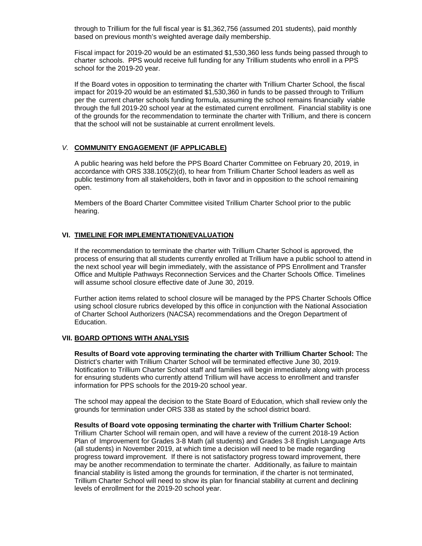through to Trillium for the full fiscal year is \$1,362,756 (assumed 201 students), paid monthly based on previous month's weighted average daily membership.

Fiscal impact for 2019-20 would be an estimated \$1,530,360 less funds being passed through to charter schools. PPS would receive full funding for any Trillium students who enroll in a PPS school for the 2019-20 year.

If the Board votes in opposition to terminating the charter with Trillium Charter School, the fiscal impact for 2019-20 would be an estimated \$1,530,360 in funds to be passed through to Trillium per the current charter schools funding formula, assuming the school remains financially viable through the full 2019-20 school year at the estimated current enrollment. Financial stability is one of the grounds for the recommendation to terminate the charter with Trillium, and there is concern that the school will not be sustainable at current enrollment levels.

# *V.* **COMMUNITY ENGAGEMENT (IF APPLICABLE)**

A public hearing was held before the PPS Board Charter Committee on February 20, 2019, in accordance with ORS 338.105(2)(d), to hear from Trillium Charter School leaders as well as public testimony from all stakeholders, both in favor and in opposition to the school remaining open.

Members of the Board Charter Committee visited Trillium Charter School prior to the public hearing.

## **VI. TIMELINE FOR IMPLEMENTATION/EVALUATION**

If the recommendation to terminate the charter with Trillium Charter School is approved, the process of ensuring that all students currently enrolled at Trillium have a public school to attend in the next school year will begin immediately, with the assistance of PPS Enrollment and Transfer Office and Multiple Pathways Reconnection Services and the Charter Schools Office. Timelines will assume school closure effective date of June 30, 2019.

Further action items related to school closure will be managed by the PPS Charter Schools Office using school closure rubrics developed by this office in conjunction with the National Association of Charter School Authorizers (NACSA) recommendations and the Oregon Department of Education.

## **VII. BOARD OPTIONS WITH ANALYSIS**

**Results of Board vote approving terminating the charter with Trillium Charter School:** The District's charter with Trillium Charter School will be terminated effective June 30, 2019. Notification to Trillium Charter School staff and families will begin immediately along with process for ensuring students who currently attend Trillium will have access to enrollment and transfer information for PPS schools for the 2019-20 school year.

The school may appeal the decision to the State Board of Education, which shall review only the grounds for termination under ORS 338 as stated by the school district board.

### **Results of Board vote opposing terminating the charter with Trillium Charter School:**

Trillium Charter School will remain open, and will have a review of the current 2018-19 Action Plan of Improvement for Grades 3-8 Math (all students) and Grades 3-8 English Language Arts (all students) in November 2019, at which time a decision will need to be made regarding progress toward improvement. If there is not satisfactory progress toward improvement, there may be another recommendation to terminate the charter. Additionally, as failure to maintain financial stability is listed among the grounds for termination, if the charter is not terminated, Trillium Charter School will need to show its plan for financial stability at current and declining levels of enrollment for the 2019-20 school year.